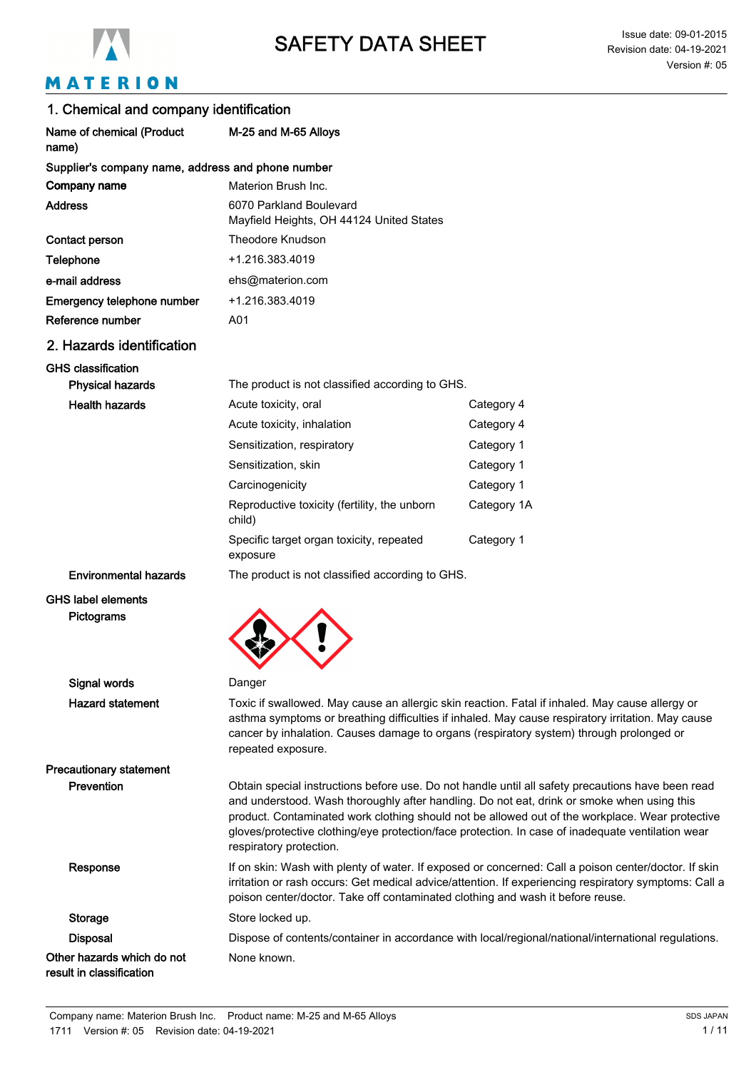

# MATERION

| 1. Chemical and company identification                 |                                                                                |                                                                                                                                                                                                                                                                                                                                                                                                         |
|--------------------------------------------------------|--------------------------------------------------------------------------------|---------------------------------------------------------------------------------------------------------------------------------------------------------------------------------------------------------------------------------------------------------------------------------------------------------------------------------------------------------------------------------------------------------|
| Name of chemical (Product<br>name)                     | M-25 and M-65 Alloys                                                           |                                                                                                                                                                                                                                                                                                                                                                                                         |
| Supplier's company name, address and phone number      |                                                                                |                                                                                                                                                                                                                                                                                                                                                                                                         |
| Company name                                           | Materion Brush Inc.                                                            |                                                                                                                                                                                                                                                                                                                                                                                                         |
| <b>Address</b>                                         | 6070 Parkland Boulevard<br>Mayfield Heights, OH 44124 United States            |                                                                                                                                                                                                                                                                                                                                                                                                         |
| Contact person                                         | <b>Theodore Knudson</b>                                                        |                                                                                                                                                                                                                                                                                                                                                                                                         |
| Telephone                                              | +1.216.383.4019                                                                |                                                                                                                                                                                                                                                                                                                                                                                                         |
| e-mail address                                         | ehs@materion.com                                                               |                                                                                                                                                                                                                                                                                                                                                                                                         |
| Emergency telephone number                             | +1.216.383.4019                                                                |                                                                                                                                                                                                                                                                                                                                                                                                         |
| Reference number                                       | A01                                                                            |                                                                                                                                                                                                                                                                                                                                                                                                         |
| 2. Hazards identification                              |                                                                                |                                                                                                                                                                                                                                                                                                                                                                                                         |
| <b>GHS classification</b>                              |                                                                                |                                                                                                                                                                                                                                                                                                                                                                                                         |
| <b>Physical hazards</b>                                | The product is not classified according to GHS.                                |                                                                                                                                                                                                                                                                                                                                                                                                         |
| <b>Health hazards</b>                                  | Acute toxicity, oral                                                           | Category 4                                                                                                                                                                                                                                                                                                                                                                                              |
|                                                        | Acute toxicity, inhalation                                                     | Category 4                                                                                                                                                                                                                                                                                                                                                                                              |
|                                                        | Sensitization, respiratory                                                     | Category 1                                                                                                                                                                                                                                                                                                                                                                                              |
|                                                        | Sensitization, skin                                                            | Category 1                                                                                                                                                                                                                                                                                                                                                                                              |
|                                                        | Carcinogenicity                                                                | Category 1                                                                                                                                                                                                                                                                                                                                                                                              |
|                                                        | Reproductive toxicity (fertility, the unborn<br>child)                         | Category 1A                                                                                                                                                                                                                                                                                                                                                                                             |
|                                                        | Specific target organ toxicity, repeated<br>exposure                           | Category 1                                                                                                                                                                                                                                                                                                                                                                                              |
| <b>Environmental hazards</b>                           | The product is not classified according to GHS.                                |                                                                                                                                                                                                                                                                                                                                                                                                         |
| <b>GHS label elements</b><br>Pictograms                |                                                                                |                                                                                                                                                                                                                                                                                                                                                                                                         |
| Signal words                                           | Danger                                                                         |                                                                                                                                                                                                                                                                                                                                                                                                         |
| <b>Hazard statement</b>                                | repeated exposure.                                                             | Toxic if swallowed. May cause an allergic skin reaction. Fatal if inhaled. May cause allergy or<br>asthma symptoms or breathing difficulties if inhaled. May cause respiratory irritation. May cause<br>cancer by inhalation. Causes damage to organs (respiratory system) through prolonged or                                                                                                         |
| <b>Precautionary statement</b>                         |                                                                                |                                                                                                                                                                                                                                                                                                                                                                                                         |
| Prevention                                             | respiratory protection.                                                        | Obtain special instructions before use. Do not handle until all safety precautions have been read<br>and understood. Wash thoroughly after handling. Do not eat, drink or smoke when using this<br>product. Contaminated work clothing should not be allowed out of the workplace. Wear protective<br>gloves/protective clothing/eye protection/face protection. In case of inadequate ventilation wear |
| Response                                               | poison center/doctor. Take off contaminated clothing and wash it before reuse. | If on skin: Wash with plenty of water. If exposed or concerned: Call a poison center/doctor. If skin<br>irritation or rash occurs: Get medical advice/attention. If experiencing respiratory symptoms: Call a                                                                                                                                                                                           |
| <b>Storage</b>                                         | Store locked up.                                                               |                                                                                                                                                                                                                                                                                                                                                                                                         |
| <b>Disposal</b>                                        |                                                                                | Dispose of contents/container in accordance with local/regional/national/international regulations.                                                                                                                                                                                                                                                                                                     |
| Other hazards which do not<br>result in classification | None known.                                                                    |                                                                                                                                                                                                                                                                                                                                                                                                         |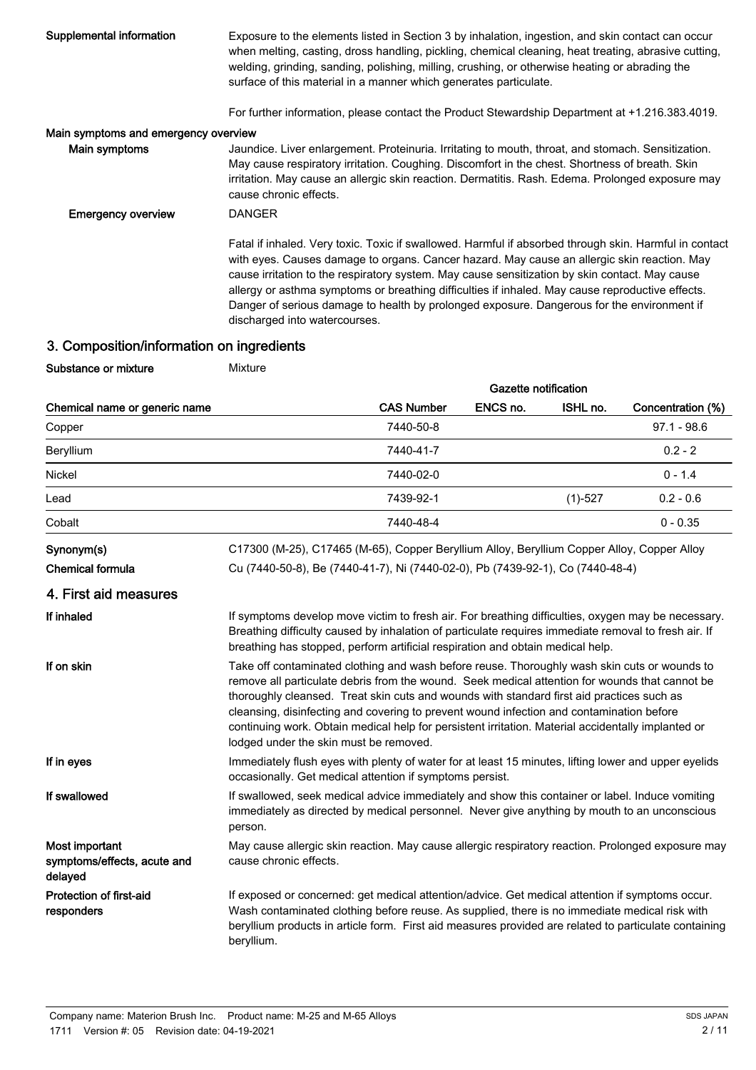| Supplemental information             | Exposure to the elements listed in Section 3 by inhalation, ingestion, and skin contact can occur<br>when melting, casting, dross handling, pickling, chemical cleaning, heat treating, abrasive cutting,<br>welding, grinding, sanding, polishing, milling, crushing, or otherwise heating or abrading the<br>surface of this material in a manner which generates particulate.                                                                                                                                                           |
|--------------------------------------|--------------------------------------------------------------------------------------------------------------------------------------------------------------------------------------------------------------------------------------------------------------------------------------------------------------------------------------------------------------------------------------------------------------------------------------------------------------------------------------------------------------------------------------------|
|                                      | For further information, please contact the Product Stewardship Department at +1.216.383.4019.                                                                                                                                                                                                                                                                                                                                                                                                                                             |
| Main symptoms and emergency overview |                                                                                                                                                                                                                                                                                                                                                                                                                                                                                                                                            |
| Main symptoms                        | Jaundice. Liver enlargement. Proteinuria. Irritating to mouth, throat, and stomach. Sensitization.<br>May cause respiratory irritation. Coughing. Discomfort in the chest. Shortness of breath. Skin<br>irritation. May cause an allergic skin reaction. Dermatitis. Rash. Edema. Prolonged exposure may<br>cause chronic effects.                                                                                                                                                                                                         |
| <b>Emergency overview</b>            | <b>DANGER</b>                                                                                                                                                                                                                                                                                                                                                                                                                                                                                                                              |
|                                      | Fatal if inhaled. Very toxic. Toxic if swallowed. Harmful if absorbed through skin. Harmful in contact<br>with eyes. Causes damage to organs. Cancer hazard. May cause an allergic skin reaction. May<br>cause irritation to the respiratory system. May cause sensitization by skin contact. May cause<br>allergy or asthma symptoms or breathing difficulties if inhaled. May cause reproductive effects.<br>Danger of serious damage to health by prolonged exposure. Dangerous for the environment if<br>discharged into watercourses. |

# 3. Composition/information on ingredients

Substance or mixture Mixture

|                                                          |                                        |                                                                                                                                                                                                                                                                                                                                                                                                                                                                                               | <b>Gazette notification</b> |           |                   |
|----------------------------------------------------------|----------------------------------------|-----------------------------------------------------------------------------------------------------------------------------------------------------------------------------------------------------------------------------------------------------------------------------------------------------------------------------------------------------------------------------------------------------------------------------------------------------------------------------------------------|-----------------------------|-----------|-------------------|
| Chemical name or generic name                            |                                        | <b>CAS Number</b>                                                                                                                                                                                                                                                                                                                                                                                                                                                                             | ENCS no.                    | ISHL no.  | Concentration (%) |
| Copper                                                   |                                        | 7440-50-8                                                                                                                                                                                                                                                                                                                                                                                                                                                                                     |                             |           | $97.1 - 98.6$     |
| Beryllium                                                |                                        | 7440-41-7                                                                                                                                                                                                                                                                                                                                                                                                                                                                                     |                             |           | $0.2 - 2$         |
| Nickel                                                   |                                        | 7440-02-0                                                                                                                                                                                                                                                                                                                                                                                                                                                                                     |                             |           | $0 - 1.4$         |
| Lead                                                     |                                        | 7439-92-1                                                                                                                                                                                                                                                                                                                                                                                                                                                                                     |                             | $(1)-527$ | $0.2 - 0.6$       |
| Cobalt                                                   |                                        | 7440-48-4                                                                                                                                                                                                                                                                                                                                                                                                                                                                                     |                             |           | $0 - 0.35$        |
| Synonym(s)                                               |                                        | C17300 (M-25), C17465 (M-65), Copper Beryllium Alloy, Beryllium Copper Alloy, Copper Alloy                                                                                                                                                                                                                                                                                                                                                                                                    |                             |           |                   |
| <b>Chemical formula</b>                                  |                                        | Cu (7440-50-8), Be (7440-41-7), Ni (7440-02-0), Pb (7439-92-1), Co (7440-48-4)                                                                                                                                                                                                                                                                                                                                                                                                                |                             |           |                   |
| 4. First aid measures                                    |                                        |                                                                                                                                                                                                                                                                                                                                                                                                                                                                                               |                             |           |                   |
| If inhaled                                               |                                        | If symptoms develop move victim to fresh air. For breathing difficulties, oxygen may be necessary.<br>Breathing difficulty caused by inhalation of particulate requires immediate removal to fresh air. If<br>breathing has stopped, perform artificial respiration and obtain medical help.                                                                                                                                                                                                  |                             |           |                   |
| If on skin                                               | lodged under the skin must be removed. | Take off contaminated clothing and wash before reuse. Thoroughly wash skin cuts or wounds to<br>remove all particulate debris from the wound. Seek medical attention for wounds that cannot be<br>thoroughly cleansed. Treat skin cuts and wounds with standard first aid practices such as<br>cleansing, disinfecting and covering to prevent wound infection and contamination before<br>continuing work. Obtain medical help for persistent irritation. Material accidentally implanted or |                             |           |                   |
| If in eyes                                               |                                        | Immediately flush eyes with plenty of water for at least 15 minutes, lifting lower and upper eyelids<br>occasionally. Get medical attention if symptoms persist.                                                                                                                                                                                                                                                                                                                              |                             |           |                   |
| If swallowed                                             | person.                                | If swallowed, seek medical advice immediately and show this container or label. Induce vomiting<br>immediately as directed by medical personnel. Never give anything by mouth to an unconscious                                                                                                                                                                                                                                                                                               |                             |           |                   |
| Most important<br>symptoms/effects, acute and<br>delayed | cause chronic effects.                 | May cause allergic skin reaction. May cause allergic respiratory reaction. Prolonged exposure may                                                                                                                                                                                                                                                                                                                                                                                             |                             |           |                   |
| Protection of first-aid<br>responders                    | beryllium.                             | If exposed or concerned: get medical attention/advice. Get medical attention if symptoms occur.<br>Wash contaminated clothing before reuse. As supplied, there is no immediate medical risk with<br>beryllium products in article form. First aid measures provided are related to particulate containing                                                                                                                                                                                     |                             |           |                   |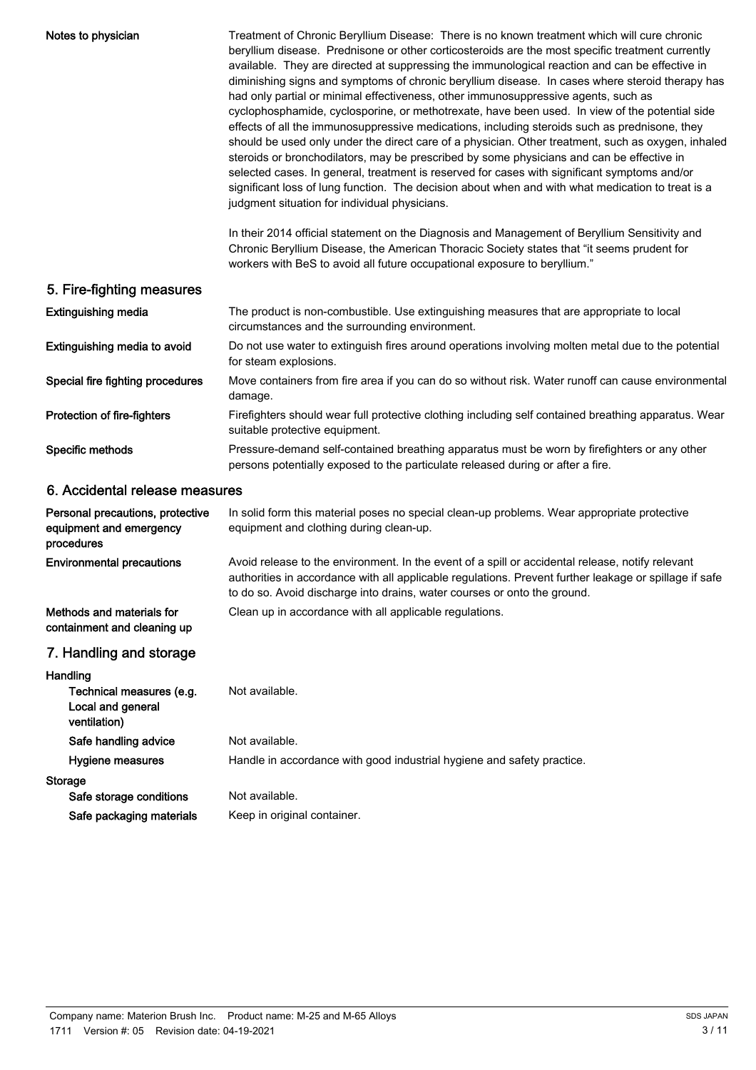| Notes to physician                                                        | Treatment of Chronic Beryllium Disease: There is no known treatment which will cure chronic<br>beryllium disease. Prednisone or other corticosteroids are the most specific treatment currently<br>available. They are directed at suppressing the immunological reaction and can be effective in<br>diminishing signs and symptoms of chronic beryllium disease. In cases where steroid therapy has<br>had only partial or minimal effectiveness, other immunosuppressive agents, such as<br>cyclophosphamide, cyclosporine, or methotrexate, have been used. In view of the potential side<br>effects of all the immunosuppressive medications, including steroids such as prednisone, they<br>should be used only under the direct care of a physician. Other treatment, such as oxygen, inhaled<br>steroids or bronchodilators, may be prescribed by some physicians and can be effective in<br>selected cases. In general, treatment is reserved for cases with significant symptoms and/or<br>significant loss of lung function. The decision about when and with what medication to treat is a<br>judgment situation for individual physicians.<br>In their 2014 official statement on the Diagnosis and Management of Beryllium Sensitivity and<br>Chronic Beryllium Disease, the American Thoracic Society states that "it seems prudent for |
|---------------------------------------------------------------------------|-------------------------------------------------------------------------------------------------------------------------------------------------------------------------------------------------------------------------------------------------------------------------------------------------------------------------------------------------------------------------------------------------------------------------------------------------------------------------------------------------------------------------------------------------------------------------------------------------------------------------------------------------------------------------------------------------------------------------------------------------------------------------------------------------------------------------------------------------------------------------------------------------------------------------------------------------------------------------------------------------------------------------------------------------------------------------------------------------------------------------------------------------------------------------------------------------------------------------------------------------------------------------------------------------------------------------------------------------------|
|                                                                           | workers with BeS to avoid all future occupational exposure to beryllium."                                                                                                                                                                                                                                                                                                                                                                                                                                                                                                                                                                                                                                                                                                                                                                                                                                                                                                                                                                                                                                                                                                                                                                                                                                                                             |
| 5. Fire-fighting measures                                                 |                                                                                                                                                                                                                                                                                                                                                                                                                                                                                                                                                                                                                                                                                                                                                                                                                                                                                                                                                                                                                                                                                                                                                                                                                                                                                                                                                       |
| <b>Extinguishing media</b>                                                | The product is non-combustible. Use extinguishing measures that are appropriate to local<br>circumstances and the surrounding environment.                                                                                                                                                                                                                                                                                                                                                                                                                                                                                                                                                                                                                                                                                                                                                                                                                                                                                                                                                                                                                                                                                                                                                                                                            |
| Extinguishing media to avoid                                              | Do not use water to extinguish fires around operations involving molten metal due to the potential<br>for steam explosions.                                                                                                                                                                                                                                                                                                                                                                                                                                                                                                                                                                                                                                                                                                                                                                                                                                                                                                                                                                                                                                                                                                                                                                                                                           |
| Special fire fighting procedures                                          | Move containers from fire area if you can do so without risk. Water runoff can cause environmental<br>damage.                                                                                                                                                                                                                                                                                                                                                                                                                                                                                                                                                                                                                                                                                                                                                                                                                                                                                                                                                                                                                                                                                                                                                                                                                                         |
| Protection of fire-fighters                                               | Firefighters should wear full protective clothing including self contained breathing apparatus. Wear<br>suitable protective equipment.                                                                                                                                                                                                                                                                                                                                                                                                                                                                                                                                                                                                                                                                                                                                                                                                                                                                                                                                                                                                                                                                                                                                                                                                                |
| Specific methods                                                          | Pressure-demand self-contained breathing apparatus must be worn by firefighters or any other<br>persons potentially exposed to the particulate released during or after a fire.                                                                                                                                                                                                                                                                                                                                                                                                                                                                                                                                                                                                                                                                                                                                                                                                                                                                                                                                                                                                                                                                                                                                                                       |
| 6. Accidental release measures                                            |                                                                                                                                                                                                                                                                                                                                                                                                                                                                                                                                                                                                                                                                                                                                                                                                                                                                                                                                                                                                                                                                                                                                                                                                                                                                                                                                                       |
| Personal precautions, protective<br>equipment and emergency<br>procedures | In solid form this material poses no special clean-up problems. Wear appropriate protective<br>equipment and clothing during clean-up.                                                                                                                                                                                                                                                                                                                                                                                                                                                                                                                                                                                                                                                                                                                                                                                                                                                                                                                                                                                                                                                                                                                                                                                                                |
| <b>Environmental precautions</b>                                          | Avoid release to the environment. In the event of a spill or accidental release, notify relevant<br>authorities in accordance with all applicable regulations. Prevent further leakage or spillage if safe<br>to do so. Avoid discharge into drains, water courses or onto the ground.                                                                                                                                                                                                                                                                                                                                                                                                                                                                                                                                                                                                                                                                                                                                                                                                                                                                                                                                                                                                                                                                |
| Methods and materials for<br>containment and cleaning up                  | Clean up in accordance with all applicable regulations.                                                                                                                                                                                                                                                                                                                                                                                                                                                                                                                                                                                                                                                                                                                                                                                                                                                                                                                                                                                                                                                                                                                                                                                                                                                                                               |
| 7. Handling and storage                                                   |                                                                                                                                                                                                                                                                                                                                                                                                                                                                                                                                                                                                                                                                                                                                                                                                                                                                                                                                                                                                                                                                                                                                                                                                                                                                                                                                                       |
| Handling<br>Technical measures (e.g.<br>Local and general<br>ventilation) | Not available.                                                                                                                                                                                                                                                                                                                                                                                                                                                                                                                                                                                                                                                                                                                                                                                                                                                                                                                                                                                                                                                                                                                                                                                                                                                                                                                                        |
| Safe handling advice                                                      | Not available.                                                                                                                                                                                                                                                                                                                                                                                                                                                                                                                                                                                                                                                                                                                                                                                                                                                                                                                                                                                                                                                                                                                                                                                                                                                                                                                                        |
| Hygiene measures                                                          | Handle in accordance with good industrial hygiene and safety practice.                                                                                                                                                                                                                                                                                                                                                                                                                                                                                                                                                                                                                                                                                                                                                                                                                                                                                                                                                                                                                                                                                                                                                                                                                                                                                |
| <b>Storage</b>                                                            |                                                                                                                                                                                                                                                                                                                                                                                                                                                                                                                                                                                                                                                                                                                                                                                                                                                                                                                                                                                                                                                                                                                                                                                                                                                                                                                                                       |
| Safe storage conditions<br>Safe packaging materials                       | Not available.<br>Keep in original container.                                                                                                                                                                                                                                                                                                                                                                                                                                                                                                                                                                                                                                                                                                                                                                                                                                                                                                                                                                                                                                                                                                                                                                                                                                                                                                         |
|                                                                           |                                                                                                                                                                                                                                                                                                                                                                                                                                                                                                                                                                                                                                                                                                                                                                                                                                                                                                                                                                                                                                                                                                                                                                                                                                                                                                                                                       |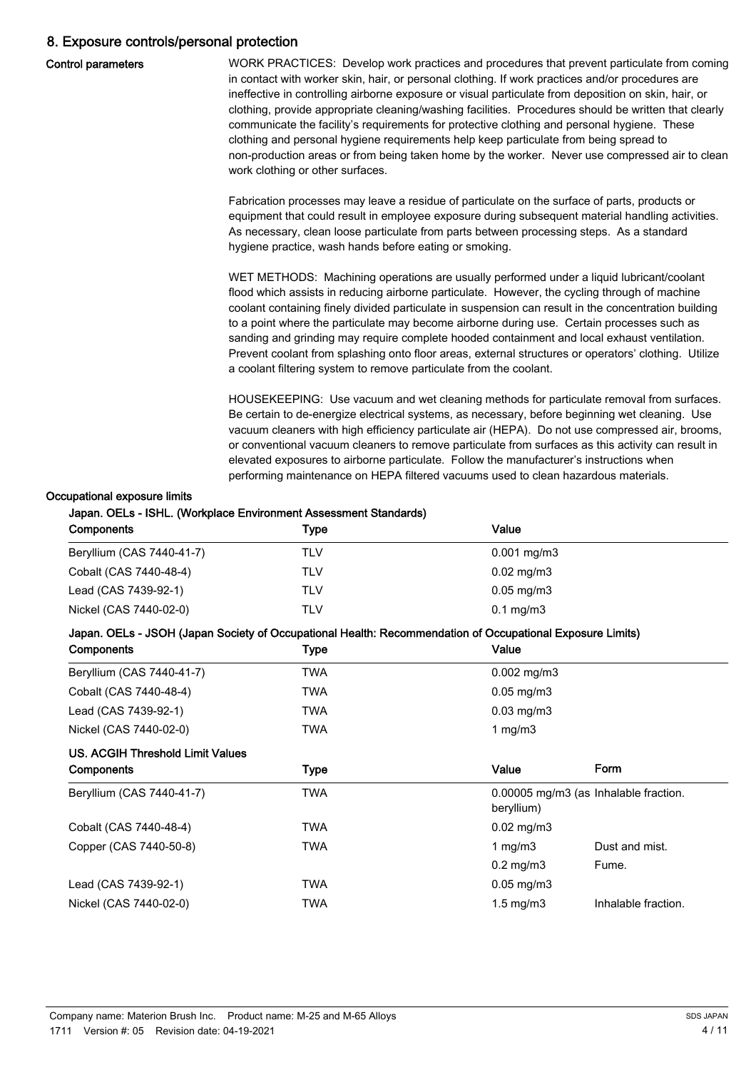## 8. Exposure controls/personal protection

|  | <b>Control parameters</b> |
|--|---------------------------|
|--|---------------------------|

WORK PRACTICES: Develop work practices and procedures that prevent particulate from coming in contact with worker skin, hair, or personal clothing. If work practices and/or procedures are ineffective in controlling airborne exposure or visual particulate from deposition on skin, hair, or clothing, provide appropriate cleaning/washing facilities. Procedures should be written that clearly communicate the facility's requirements for protective clothing and personal hygiene. These clothing and personal hygiene requirements help keep particulate from being spread to non-production areas or from being taken home by the worker. Never use compressed air to clean work clothing or other surfaces.

Fabrication processes may leave a residue of particulate on the surface of parts, products or equipment that could result in employee exposure during subsequent material handling activities. As necessary, clean loose particulate from parts between processing steps. As a standard hygiene practice, wash hands before eating or smoking.

WET METHODS: Machining operations are usually performed under a liquid lubricant/coolant flood which assists in reducing airborne particulate. However, the cycling through of machine coolant containing finely divided particulate in suspension can result in the concentration building to a point where the particulate may become airborne during use. Certain processes such as sanding and grinding may require complete hooded containment and local exhaust ventilation. Prevent coolant from splashing onto floor areas, external structures or operators' clothing. Utilize a coolant filtering system to remove particulate from the coolant.

HOUSEKEEPING: Use vacuum and wet cleaning methods for particulate removal from surfaces. Be certain to de-energize electrical systems, as necessary, before beginning wet cleaning. Use vacuum cleaners with high efficiency particulate air (HEPA). Do not use compressed air, brooms, or conventional vacuum cleaners to remove particulate from surfaces as this activity can result in elevated exposures to airborne particulate. Follow the manufacturer's instructions when performing maintenance on HEPA filtered vacuums used to clean hazardous materials.

#### Occupational exposure limits

#### Japan. OELs - ISHL. (Workplace Environment Assessment Standards)

| <b>Components</b>         | Type | Value                    |
|---------------------------|------|--------------------------|
| Beryllium (CAS 7440-41-7) | TLV  | $0.001 \,\mathrm{mg/m3}$ |
| Cobalt (CAS 7440-48-4)    | TLV  | $0.02 \,\mathrm{mg/m3}$  |
| Lead (CAS 7439-92-1)      | TLV  | $0.05 \,\mathrm{mg/m3}$  |
| Nickel (CAS 7440-02-0)    | TLV  | $0.1 \text{ mg/m}$ 3     |

#### Japan. OELs - JSOH (Japan Society of Occupational Health: Recommendation of Occupational Exposure Limits)

| Components                       | Type        | Value                |                                       |
|----------------------------------|-------------|----------------------|---------------------------------------|
| Beryllium (CAS 7440-41-7)        | TWA         | $0.002$ mg/m3        |                                       |
| Cobalt (CAS 7440-48-4)           | TWA         | $0.05$ mg/m $3$      |                                       |
| Lead (CAS 7439-92-1)             | TWA         | $0.03$ mg/m $3$      |                                       |
| Nickel (CAS 7440-02-0)           | TWA         | 1 mg/m $3$           |                                       |
| US. ACGIH Threshold Limit Values |             |                      |                                       |
| Components                       | <b>Type</b> | Value                | Form                                  |
|                                  |             |                      |                                       |
| Beryllium (CAS 7440-41-7)        | <b>TWA</b>  | beryllium)           | 0.00005 mg/m3 (as Inhalable fraction. |
| Cobalt (CAS 7440-48-4)           | TWA         | $0.02$ mg/m $3$      |                                       |
| Copper (CAS 7440-50-8)           | TWA         | 1 mg/m $3$           | Dust and mist.                        |
|                                  |             | $0.2 \text{ mg/m}$ 3 | Fume.                                 |
| Lead (CAS 7439-92-1)             | TWA         | $0.05$ mg/m $3$      |                                       |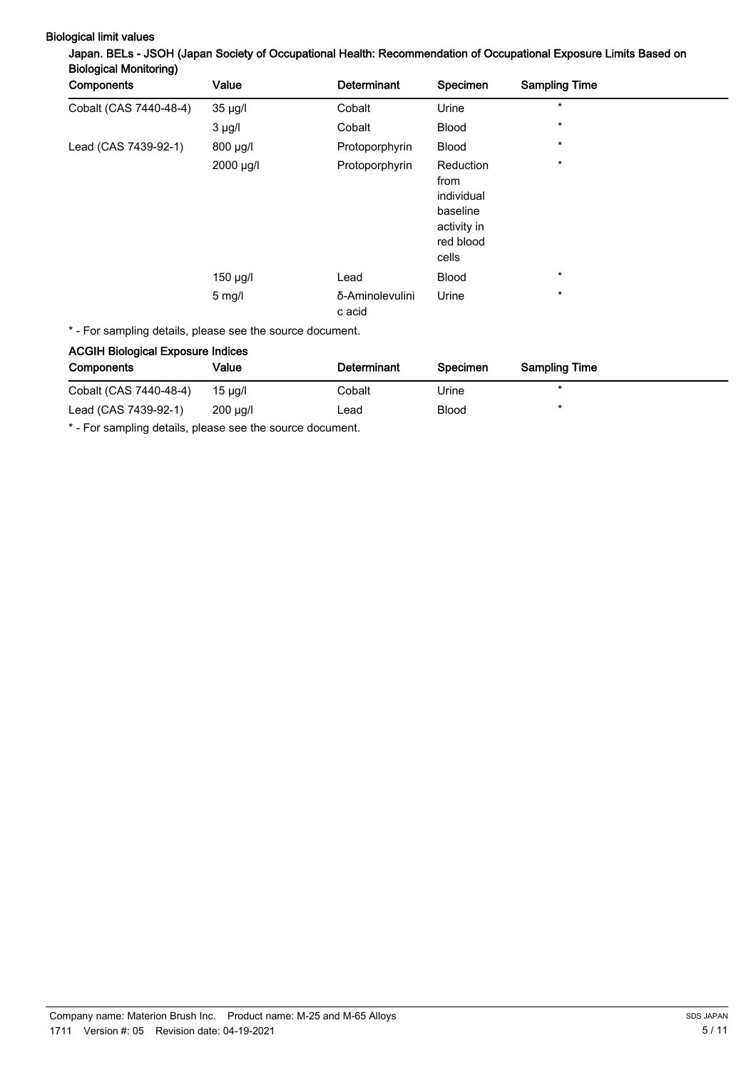| Components             | Value            | Determinant               | Specimen                                                                         | <b>Sampling Time</b> |
|------------------------|------------------|---------------------------|----------------------------------------------------------------------------------|----------------------|
| Cobalt (CAS 7440-48-4) | $35 \mu g/l$     | Cobalt                    | Urine                                                                            | $\star$              |
|                        | $3 \mu g/l$      | Cobalt                    | <b>Blood</b>                                                                     | $\star$              |
| Lead (CAS 7439-92-1)   | $800 \mu g/l$    | Protoporphyrin            | <b>Blood</b>                                                                     | $\star$              |
|                        | 2000 µg/l        | Protoporphyrin            | Reduction<br>from<br>individual<br>baseline<br>activity in<br>red blood<br>cells | $\star$              |
|                        | $150 \mu g/l$    | Lead                      | <b>Blood</b>                                                                     | $\star$              |
|                        | $5 \text{ mg/l}$ | δ-Aminolevulini<br>c acid | Urine                                                                            | $\star$              |

# Biological limit values<br>Ianan, BELs - JSOH (Janan Society of Occupational Health: Recon mendation of Occupational Exposure Limits Based on

\* - For sampling details, please see the source document.

## ACGIH Biological Exposure Indices

| <b>Components</b>      | Value         | Determinant | Specimen     | <b>Sampling Time</b> |
|------------------------|---------------|-------------|--------------|----------------------|
| Cobalt (CAS 7440-48-4) | 15 µg/l       | Cobalt      | Urine        |                      |
| Lead (CAS 7439-92-1)   | $200 \mu q/l$ | ∟ead        | <b>Blood</b> |                      |

\* - For sampling details, please see the source document.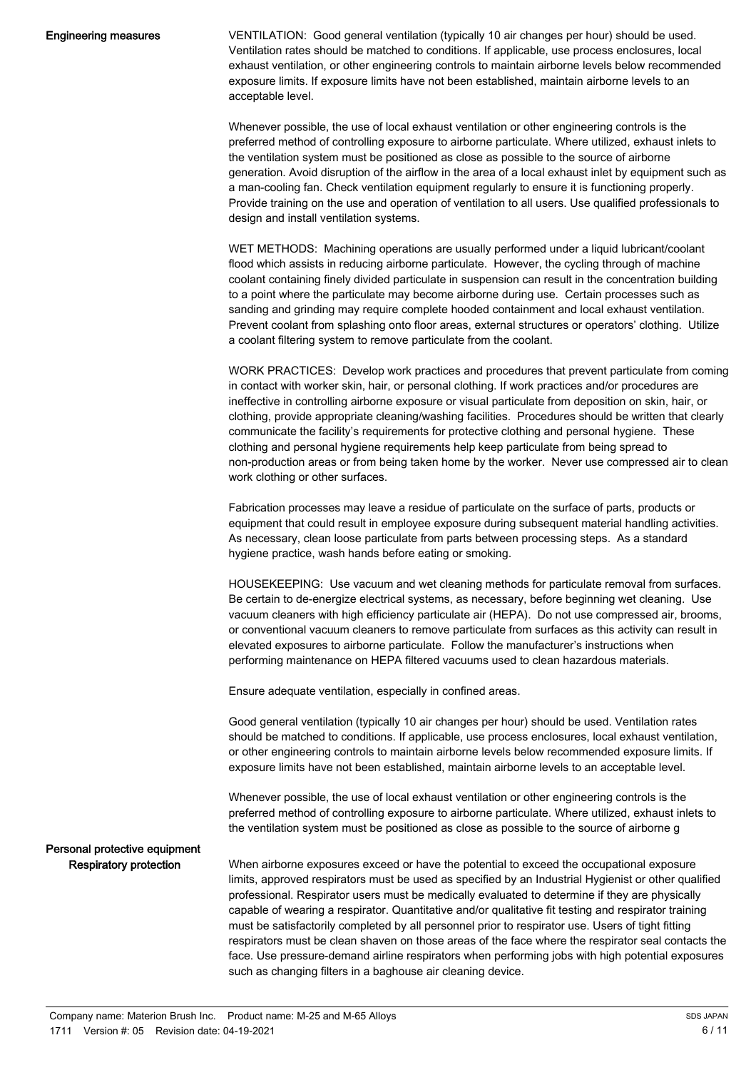VENTILATION: Good general ventilation (typically 10 air changes per hour) should be used. Ventilation rates should be matched to conditions. If applicable, use process enclosures, local exhaust ventilation, or other engineering controls to maintain airborne levels below recommended exposure limits. If exposure limits have not been established, maintain airborne levels to an acceptable level.

Whenever possible, the use of local exhaust ventilation or other engineering controls is the preferred method of controlling exposure to airborne particulate. Where utilized, exhaust inlets to the ventilation system must be positioned as close as possible to the source of airborne generation. Avoid disruption of the airflow in the area of a local exhaust inlet by equipment such as a man-cooling fan. Check ventilation equipment regularly to ensure it is functioning properly. Provide training on the use and operation of ventilation to all users. Use qualified professionals to design and install ventilation systems.

WET METHODS: Machining operations are usually performed under a liquid lubricant/coolant flood which assists in reducing airborne particulate. However, the cycling through of machine coolant containing finely divided particulate in suspension can result in the concentration building to a point where the particulate may become airborne during use. Certain processes such as sanding and grinding may require complete hooded containment and local exhaust ventilation. Prevent coolant from splashing onto floor areas, external structures or operators' clothing. Utilize a coolant filtering system to remove particulate from the coolant.

WORK PRACTICES: Develop work practices and procedures that prevent particulate from coming in contact with worker skin, hair, or personal clothing. If work practices and/or procedures are ineffective in controlling airborne exposure or visual particulate from deposition on skin, hair, or clothing, provide appropriate cleaning/washing facilities. Procedures should be written that clearly communicate the facility's requirements for protective clothing and personal hygiene. These clothing and personal hygiene requirements help keep particulate from being spread to non-production areas or from being taken home by the worker. Never use compressed air to clean work clothing or other surfaces.

Fabrication processes may leave a residue of particulate on the surface of parts, products or equipment that could result in employee exposure during subsequent material handling activities. As necessary, clean loose particulate from parts between processing steps. As a standard hygiene practice, wash hands before eating or smoking.

HOUSEKEEPING: Use vacuum and wet cleaning methods for particulate removal from surfaces. Be certain to de-energize electrical systems, as necessary, before beginning wet cleaning. Use vacuum cleaners with high efficiency particulate air (HEPA). Do not use compressed air, brooms, or conventional vacuum cleaners to remove particulate from surfaces as this activity can result in elevated exposures to airborne particulate. Follow the manufacturer's instructions when performing maintenance on HEPA filtered vacuums used to clean hazardous materials.

Ensure adequate ventilation, especially in confined areas.

Good general ventilation (typically 10 air changes per hour) should be used. Ventilation rates should be matched to conditions. If applicable, use process enclosures, local exhaust ventilation, or other engineering controls to maintain airborne levels below recommended exposure limits. If exposure limits have not been established, maintain airborne levels to an acceptable level.

Whenever possible, the use of local exhaust ventilation or other engineering controls is the preferred method of controlling exposure to airborne particulate. Where utilized, exhaust inlets to the ventilation system must be positioned as close as possible to the source of airborne g

#### Personal protective equipment Respiratory protection

When airborne exposures exceed or have the potential to exceed the occupational exposure limits, approved respirators must be used as specified by an Industrial Hygienist or other qualified professional. Respirator users must be medically evaluated to determine if they are physically capable of wearing a respirator. Quantitative and/or qualitative fit testing and respirator training must be satisfactorily completed by all personnel prior to respirator use. Users of tight fitting respirators must be clean shaven on those areas of the face where the respirator seal contacts the face. Use pressure-demand airline respirators when performing jobs with high potential exposures such as changing filters in a baghouse air cleaning device.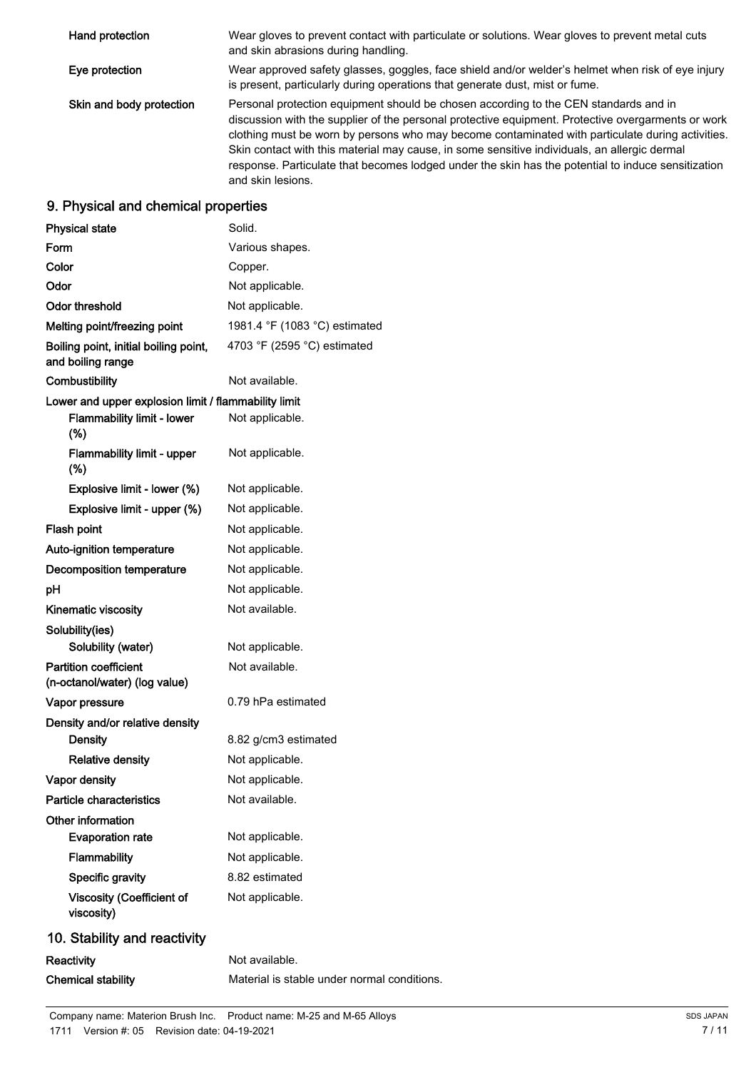| Hand protection          | Wear gloves to prevent contact with particulate or solutions. Wear gloves to prevent metal cuts<br>and skin abrasions during handling.                                                                                                                                                                                                                                                                                                                                                                                    |
|--------------------------|---------------------------------------------------------------------------------------------------------------------------------------------------------------------------------------------------------------------------------------------------------------------------------------------------------------------------------------------------------------------------------------------------------------------------------------------------------------------------------------------------------------------------|
| Eye protection           | Wear approved safety glasses, goggles, face shield and/or welder's helmet when risk of eye injury<br>is present, particularly during operations that generate dust, mist or fume.                                                                                                                                                                                                                                                                                                                                         |
| Skin and body protection | Personal protection equipment should be chosen according to the CEN standards and in<br>discussion with the supplier of the personal protective equipment. Protective overgarments or work<br>clothing must be worn by persons who may become contaminated with particulate during activities.<br>Skin contact with this material may cause, in some sensitive individuals, an allergic dermal<br>response. Particulate that becomes lodged under the skin has the potential to induce sensitization<br>and skin lesions. |

## 9. Physical and chemical properties

| <b>Physical state</b>                                         | Solid.                                      |
|---------------------------------------------------------------|---------------------------------------------|
| Form                                                          | Various shapes.                             |
| Color                                                         | Copper.                                     |
| Odor                                                          | Not applicable.                             |
| <b>Odor threshold</b>                                         | Not applicable.                             |
| Melting point/freezing point                                  | 1981.4 °F (1083 °C) estimated               |
| Boiling point, initial boiling point,<br>and boiling range    | 4703 °F (2595 °C) estimated                 |
| Combustibility                                                | Not available.                              |
| Lower and upper explosion limit / flammability limit          |                                             |
| <b>Flammability limit - lower</b><br>(%)                      | Not applicable.                             |
| <b>Flammability limit - upper</b><br>(%)                      | Not applicable.                             |
| Explosive limit - lower (%)                                   | Not applicable.                             |
| Explosive limit - upper (%)                                   | Not applicable.                             |
| Flash point                                                   | Not applicable.                             |
| Auto-ignition temperature                                     | Not applicable.                             |
| <b>Decomposition temperature</b>                              | Not applicable.                             |
| рH                                                            | Not applicable.                             |
| Kinematic viscosity                                           | Not available.                              |
| Solubility(ies)<br>Solubility (water)                         | Not applicable.                             |
| <b>Partition coefficient</b><br>(n-octanol/water) (log value) | Not available.                              |
| Vapor pressure                                                | 0.79 hPa estimated                          |
| Density and/or relative density                               |                                             |
| <b>Density</b>                                                | 8.82 g/cm3 estimated                        |
| <b>Relative density</b>                                       | Not applicable.                             |
| <b>Vapor density</b>                                          | Not applicable.                             |
| <b>Particle characteristics</b>                               | Not available.                              |
| Other information                                             |                                             |
| <b>Evaporation rate</b>                                       | Not applicable.                             |
| Flammability                                                  | Not applicable.                             |
| Specific gravity                                              | 8.82 estimated                              |
| <b>Viscosity (Coefficient of</b><br>viscosity)                | Not applicable.                             |
| 10. Stability and reactivity                                  |                                             |
| Reactivity                                                    | Not available.                              |
| <b>Chemical stability</b>                                     | Material is stable under normal conditions. |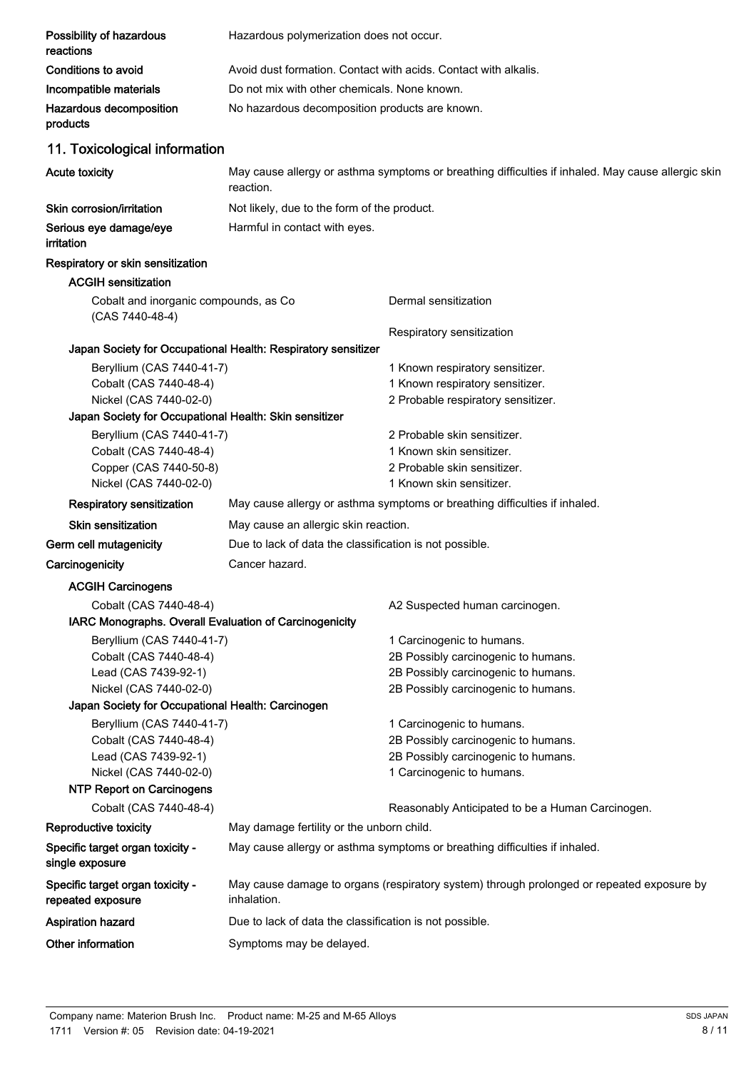| Possibility of hazardous<br>reactions                                            | Hazardous polymerization does not occur.                        |                                                                                                    |
|----------------------------------------------------------------------------------|-----------------------------------------------------------------|----------------------------------------------------------------------------------------------------|
| <b>Conditions to avoid</b>                                                       | Avoid dust formation. Contact with acids. Contact with alkalis. |                                                                                                    |
| Incompatible materials                                                           | Do not mix with other chemicals. None known.                    |                                                                                                    |
| Hazardous decomposition<br>products                                              | No hazardous decomposition products are known.                  |                                                                                                    |
| 11. Toxicological information                                                    |                                                                 |                                                                                                    |
| Acute toxicity                                                                   | reaction.                                                       | May cause allergy or asthma symptoms or breathing difficulties if inhaled. May cause allergic skin |
| Skin corrosion/irritation                                                        | Not likely, due to the form of the product.                     |                                                                                                    |
| Serious eye damage/eye<br>irritation                                             | Harmful in contact with eyes.                                   |                                                                                                    |
| Respiratory or skin sensitization                                                |                                                                 |                                                                                                    |
| <b>ACGIH sensitization</b>                                                       |                                                                 |                                                                                                    |
| Cobalt and inorganic compounds, as Co<br>(CAS 7440-48-4)                         |                                                                 | Dermal sensitization                                                                               |
|                                                                                  |                                                                 | Respiratory sensitization                                                                          |
|                                                                                  | Japan Society for Occupational Health: Respiratory sensitizer   |                                                                                                    |
| Beryllium (CAS 7440-41-7)                                                        |                                                                 | 1 Known respiratory sensitizer.                                                                    |
| Cobalt (CAS 7440-48-4)                                                           |                                                                 | 1 Known respiratory sensitizer.                                                                    |
| Nickel (CAS 7440-02-0)<br>Japan Society for Occupational Health: Skin sensitizer |                                                                 | 2 Probable respiratory sensitizer.                                                                 |
| Beryllium (CAS 7440-41-7)                                                        |                                                                 | 2 Probable skin sensitizer.                                                                        |
| Cobalt (CAS 7440-48-4)                                                           |                                                                 | 1 Known skin sensitizer.                                                                           |
| Copper (CAS 7440-50-8)                                                           |                                                                 | 2 Probable skin sensitizer.                                                                        |
| Nickel (CAS 7440-02-0)                                                           |                                                                 | 1 Known skin sensitizer.                                                                           |
| <b>Respiratory sensitization</b>                                                 |                                                                 |                                                                                                    |
|                                                                                  |                                                                 | May cause allergy or asthma symptoms or breathing difficulties if inhaled.                         |
| Skin sensitization                                                               | May cause an allergic skin reaction.                            |                                                                                                    |
| Germ cell mutagenicity                                                           | Due to lack of data the classification is not possible.         |                                                                                                    |
| Carcinogenicity                                                                  | Cancer hazard.                                                  |                                                                                                    |
| <b>ACGIH Carcinogens</b>                                                         |                                                                 |                                                                                                    |
| Cobalt (CAS 7440-48-4)                                                           |                                                                 | A2 Suspected human carcinogen.                                                                     |
| IARC Monographs. Overall Evaluation of Carcinogenicity                           |                                                                 |                                                                                                    |
| Beryllium (CAS 7440-41-7)                                                        |                                                                 | 1 Carcinogenic to humans.                                                                          |
| Cobalt (CAS 7440-48-4)                                                           |                                                                 | 2B Possibly carcinogenic to humans.                                                                |
| Lead (CAS 7439-92-1)                                                             |                                                                 | 2B Possibly carcinogenic to humans.                                                                |
| Nickel (CAS 7440-02-0)                                                           |                                                                 | 2B Possibly carcinogenic to humans.                                                                |
| Japan Society for Occupational Health: Carcinogen                                |                                                                 |                                                                                                    |
| Beryllium (CAS 7440-41-7)                                                        |                                                                 | 1 Carcinogenic to humans.                                                                          |
| Cobalt (CAS 7440-48-4)<br>Lead (CAS 7439-92-1)                                   |                                                                 | 2B Possibly carcinogenic to humans.<br>2B Possibly carcinogenic to humans.                         |
| Nickel (CAS 7440-02-0)                                                           |                                                                 | 1 Carcinogenic to humans.                                                                          |
| <b>NTP Report on Carcinogens</b>                                                 |                                                                 |                                                                                                    |
| Cobalt (CAS 7440-48-4)                                                           |                                                                 | Reasonably Anticipated to be a Human Carcinogen.                                                   |
| Reproductive toxicity                                                            | May damage fertility or the unborn child.                       |                                                                                                    |
| Specific target organ toxicity -<br>single exposure                              |                                                                 | May cause allergy or asthma symptoms or breathing difficulties if inhaled.                         |
| Specific target organ toxicity -<br>repeated exposure                            | inhalation.                                                     | May cause damage to organs (respiratory system) through prolonged or repeated exposure by          |
| <b>Aspiration hazard</b>                                                         | Due to lack of data the classification is not possible.         |                                                                                                    |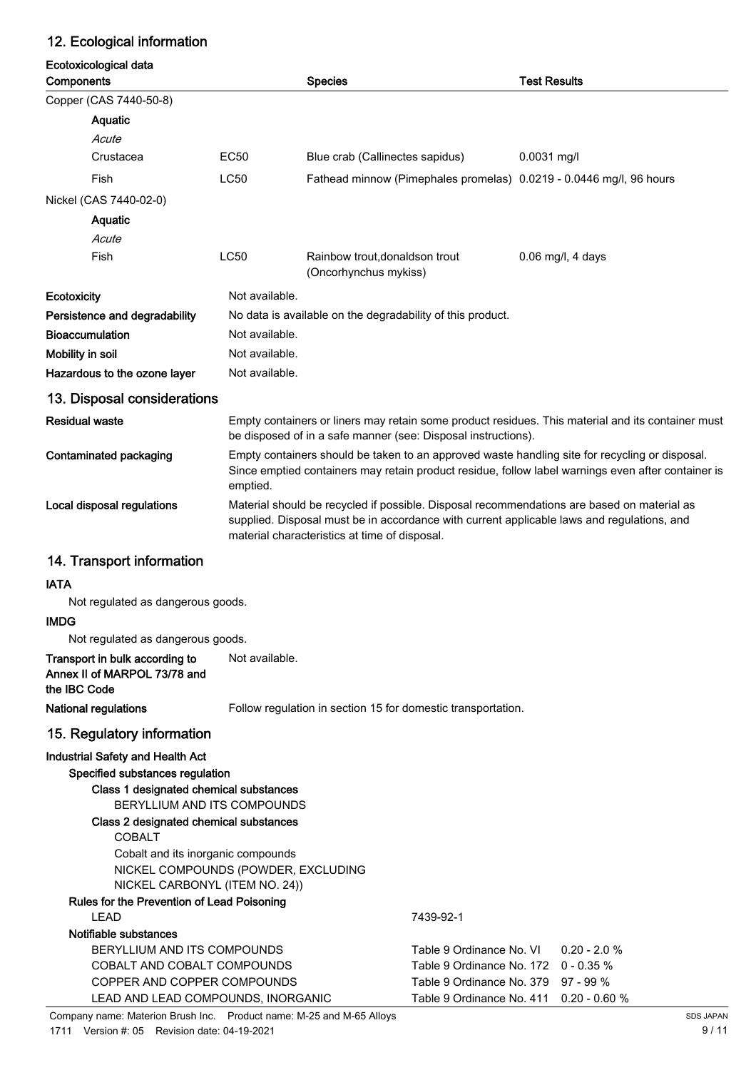## 12. Ecological information

| Ecotoxicological data<br>Components                                                                                                                                                                            |                | <b>Species</b>                                                                                                                                                                                                                            | <b>Test Results</b> |  |  |
|----------------------------------------------------------------------------------------------------------------------------------------------------------------------------------------------------------------|----------------|-------------------------------------------------------------------------------------------------------------------------------------------------------------------------------------------------------------------------------------------|---------------------|--|--|
| Copper (CAS 7440-50-8)                                                                                                                                                                                         |                |                                                                                                                                                                                                                                           |                     |  |  |
| Aquatic                                                                                                                                                                                                        |                |                                                                                                                                                                                                                                           |                     |  |  |
| Acute                                                                                                                                                                                                          |                |                                                                                                                                                                                                                                           |                     |  |  |
| Crustacea                                                                                                                                                                                                      | <b>EC50</b>    | Blue crab (Callinectes sapidus)                                                                                                                                                                                                           | $0.0031$ mg/l       |  |  |
| Fish                                                                                                                                                                                                           | <b>LC50</b>    | Fathead minnow (Pimephales promelas) 0.0219 - 0.0446 mg/l, 96 hours                                                                                                                                                                       |                     |  |  |
| Nickel (CAS 7440-02-0)                                                                                                                                                                                         |                |                                                                                                                                                                                                                                           |                     |  |  |
| Aquatic                                                                                                                                                                                                        |                |                                                                                                                                                                                                                                           |                     |  |  |
| Acute                                                                                                                                                                                                          |                |                                                                                                                                                                                                                                           |                     |  |  |
| Fish                                                                                                                                                                                                           | <b>LC50</b>    | Rainbow trout, donaldson trout<br>(Oncorhynchus mykiss)                                                                                                                                                                                   | $0.06$ mg/l, 4 days |  |  |
| <b>Ecotoxicity</b>                                                                                                                                                                                             | Not available. |                                                                                                                                                                                                                                           |                     |  |  |
| Persistence and degradability                                                                                                                                                                                  |                | No data is available on the degradability of this product.                                                                                                                                                                                |                     |  |  |
| <b>Bioaccumulation</b>                                                                                                                                                                                         | Not available. |                                                                                                                                                                                                                                           |                     |  |  |
| Mobility in soil                                                                                                                                                                                               | Not available. |                                                                                                                                                                                                                                           |                     |  |  |
| Hazardous to the ozone layer                                                                                                                                                                                   | Not available. |                                                                                                                                                                                                                                           |                     |  |  |
| 13. Disposal considerations                                                                                                                                                                                    |                |                                                                                                                                                                                                                                           |                     |  |  |
| <b>Residual waste</b>                                                                                                                                                                                          |                | Empty containers or liners may retain some product residues. This material and its container must<br>be disposed of in a safe manner (see: Disposal instructions).                                                                        |                     |  |  |
| Contaminated packaging                                                                                                                                                                                         | emptied.       | Empty containers should be taken to an approved waste handling site for recycling or disposal.<br>Since emptied containers may retain product residue, follow label warnings even after container is                                      |                     |  |  |
| Local disposal regulations                                                                                                                                                                                     |                | Material should be recycled if possible. Disposal recommendations are based on material as<br>supplied. Disposal must be in accordance with current applicable laws and regulations, and<br>material characteristics at time of disposal. |                     |  |  |
| 14. Transport information                                                                                                                                                                                      |                |                                                                                                                                                                                                                                           |                     |  |  |
| <b>IATA</b>                                                                                                                                                                                                    |                |                                                                                                                                                                                                                                           |                     |  |  |
| Not regulated as dangerous goods.                                                                                                                                                                              |                |                                                                                                                                                                                                                                           |                     |  |  |
| <b>IMDG</b>                                                                                                                                                                                                    |                |                                                                                                                                                                                                                                           |                     |  |  |
| Not regulated as dangerous goods.                                                                                                                                                                              |                |                                                                                                                                                                                                                                           |                     |  |  |
| Transport in bulk according to<br>Annex II of MARPOL 73/78 and<br>the IBC Code                                                                                                                                 | Not available. |                                                                                                                                                                                                                                           |                     |  |  |
| <b>National regulations</b>                                                                                                                                                                                    |                | Follow regulation in section 15 for domestic transportation.                                                                                                                                                                              |                     |  |  |
| 15. Regulatory information                                                                                                                                                                                     |                |                                                                                                                                                                                                                                           |                     |  |  |
| <b>Industrial Safety and Health Act</b><br>Specified substances regulation<br>Class 1 designated chemical substances<br>BERYLLIUM AND ITS COMPOUNDS<br>Class 2 designated chemical substances<br><b>COBALT</b> |                |                                                                                                                                                                                                                                           |                     |  |  |
| Cobalt and its inorganic compounds<br>NICKEL COMPOUNDS (POWDER, EXCLUDING<br>NICKEL CARBONYL (ITEM NO. 24))                                                                                                    |                |                                                                                                                                                                                                                                           |                     |  |  |
| Rules for the Prevention of Lead Poisoning                                                                                                                                                                     |                |                                                                                                                                                                                                                                           |                     |  |  |
| <b>LEAD</b>                                                                                                                                                                                                    |                | 7439-92-1                                                                                                                                                                                                                                 |                     |  |  |
| Notifiable substances<br>BERYLLIUM AND ITS COMPOUNDS                                                                                                                                                           |                | Table 9 Ordinance No. VI                                                                                                                                                                                                                  | $0.20 - 2.0 %$      |  |  |

COBALT AND COBALT COMPOUNDS Table 9 Ordinance No. 172 0 - 0.35 % COPPER AND COPPER COMPOUNDS Table 9 Ordinance No. 379 97 - 99 % LEAD AND LEAD COMPOUNDS, INORGANIC Table 9 Ordinance No. 411 0.20 - 0.60 %

Company name: Materion Brush Inc. Product name: M-25 and M-65 Alloys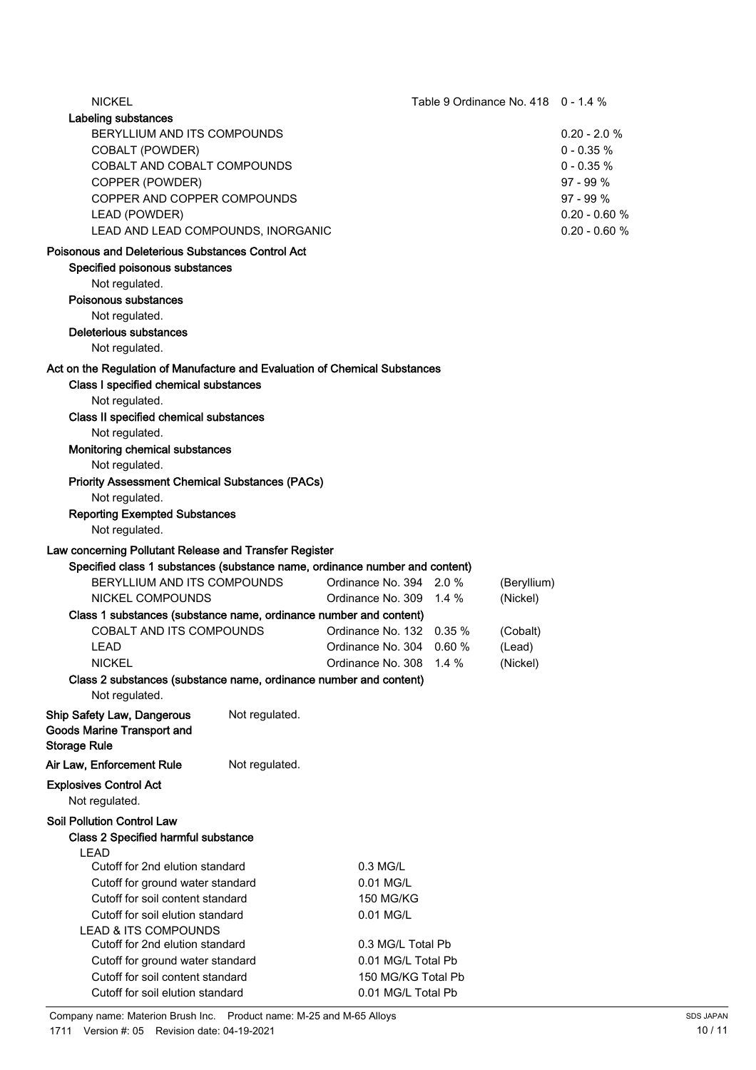| <b>NICKEL</b>                                                               |                                  | Table 9 Ordinance No. 418  0 - 1.4 % |                    |                |                 |
|-----------------------------------------------------------------------------|----------------------------------|--------------------------------------|--------------------|----------------|-----------------|
| Labeling substances                                                         |                                  |                                      |                    |                |                 |
| BERYLLIUM AND ITS COMPOUNDS                                                 |                                  |                                      |                    | $0.20 - 2.0 %$ |                 |
| <b>COBALT (POWDER)</b>                                                      |                                  |                                      |                    | $0 - 0.35 %$   |                 |
| COBALT AND COBALT COMPOUNDS                                                 |                                  |                                      |                    | $0 - 0.35 %$   |                 |
| COPPER (POWDER)                                                             |                                  |                                      |                    | 97 - 99 %      |                 |
| COPPER AND COPPER COMPOUNDS                                                 |                                  |                                      |                    | $97 - 99 \%$   |                 |
| LEAD (POWDER)                                                               |                                  |                                      |                    |                | $0.20 - 0.60 %$ |
| LEAD AND LEAD COMPOUNDS, INORGANIC                                          |                                  |                                      |                    |                | $0.20 - 0.60 %$ |
| <b>Poisonous and Deleterious Substances Control Act</b>                     |                                  |                                      |                    |                |                 |
| Specified poisonous substances                                              |                                  |                                      |                    |                |                 |
| Not regulated.                                                              |                                  |                                      |                    |                |                 |
| Poisonous substances                                                        |                                  |                                      |                    |                |                 |
| Not regulated.                                                              |                                  |                                      |                    |                |                 |
| <b>Deleterious substances</b>                                               |                                  |                                      |                    |                |                 |
| Not regulated.                                                              |                                  |                                      |                    |                |                 |
| Act on the Regulation of Manufacture and Evaluation of Chemical Substances  |                                  |                                      |                    |                |                 |
| Class I specified chemical substances                                       |                                  |                                      |                    |                |                 |
| Not regulated.                                                              |                                  |                                      |                    |                |                 |
| Class II specified chemical substances                                      |                                  |                                      |                    |                |                 |
| Not regulated.                                                              |                                  |                                      |                    |                |                 |
| Monitoring chemical substances                                              |                                  |                                      |                    |                |                 |
| Not regulated.                                                              |                                  |                                      |                    |                |                 |
| <b>Priority Assessment Chemical Substances (PACs)</b>                       |                                  |                                      |                    |                |                 |
| Not regulated.                                                              |                                  |                                      |                    |                |                 |
| <b>Reporting Exempted Substances</b>                                        |                                  |                                      |                    |                |                 |
| Not regulated.                                                              |                                  |                                      |                    |                |                 |
| Law concerning Pollutant Release and Transfer Register                      |                                  |                                      |                    |                |                 |
| Specified class 1 substances (substance name, ordinance number and content) |                                  |                                      |                    |                |                 |
| BERYLLIUM AND ITS COMPOUNDS                                                 |                                  | Ordinance No. 394 2.0 %              |                    | (Beryllium)    |                 |
| NICKEL COMPOUNDS                                                            |                                  | Ordinance No. 309                    | 1.4 $%$            | (Nickel)       |                 |
| Class 1 substances (substance name, ordinance number and content)           |                                  |                                      |                    |                |                 |
| COBALT AND ITS COMPOUNDS                                                    |                                  | Ordinance No. 132 0.35 %             |                    | (Cobalt)       |                 |
| LEAD                                                                        |                                  | Ordinance No. 304 0.60 %             |                    | (Lead)         |                 |
| <b>NICKEL</b>                                                               |                                  | Ordinance No. 308 1.4 %              |                    | (Nickel)       |                 |
| Class 2 substances (substance name, ordinance number and content)           |                                  |                                      |                    |                |                 |
| Not regulated.                                                              |                                  |                                      |                    |                |                 |
| <b>Ship Safety Law, Dangerous</b>                                           | Not regulated.                   |                                      |                    |                |                 |
| <b>Goods Marine Transport and</b>                                           |                                  |                                      |                    |                |                 |
| <b>Storage Rule</b>                                                         |                                  |                                      |                    |                |                 |
| Air Law, Enforcement Rule                                                   | Not regulated.                   |                                      |                    |                |                 |
| <b>Explosives Control Act</b>                                               |                                  |                                      |                    |                |                 |
| Not regulated.                                                              |                                  |                                      |                    |                |                 |
|                                                                             |                                  |                                      |                    |                |                 |
| <b>Soil Pollution Control Law</b>                                           |                                  |                                      |                    |                |                 |
| <b>Class 2 Specified harmful substance</b>                                  |                                  |                                      |                    |                |                 |
| <b>LEAD</b><br>Cutoff for 2nd elution standard                              |                                  | 0.3 MG/L                             |                    |                |                 |
| Cutoff for ground water standard                                            | 0.01 MG/L                        |                                      |                    |                |                 |
| Cutoff for soil content standard                                            |                                  | <b>150 MG/KG</b>                     |                    |                |                 |
| Cutoff for soil elution standard                                            |                                  | 0.01 MG/L                            |                    |                |                 |
| <b>LEAD &amp; ITS COMPOUNDS</b>                                             |                                  |                                      |                    |                |                 |
| Cutoff for 2nd elution standard                                             |                                  | 0.3 MG/L Total Pb                    |                    |                |                 |
|                                                                             | Cutoff for ground water standard |                                      | 0.01 MG/L Total Pb |                |                 |
| Cutoff for soil content standard                                            |                                  | 150 MG/KG Total Pb                   |                    |                |                 |
| Cutoff for soil elution standard                                            |                                  | 0.01 MG/L Total Pb                   |                    |                |                 |

Company name: Materion Brush Inc. Product name: M-25 and M-65 Alloys 1711 Version #: 05 Revision date: 04-19-2021